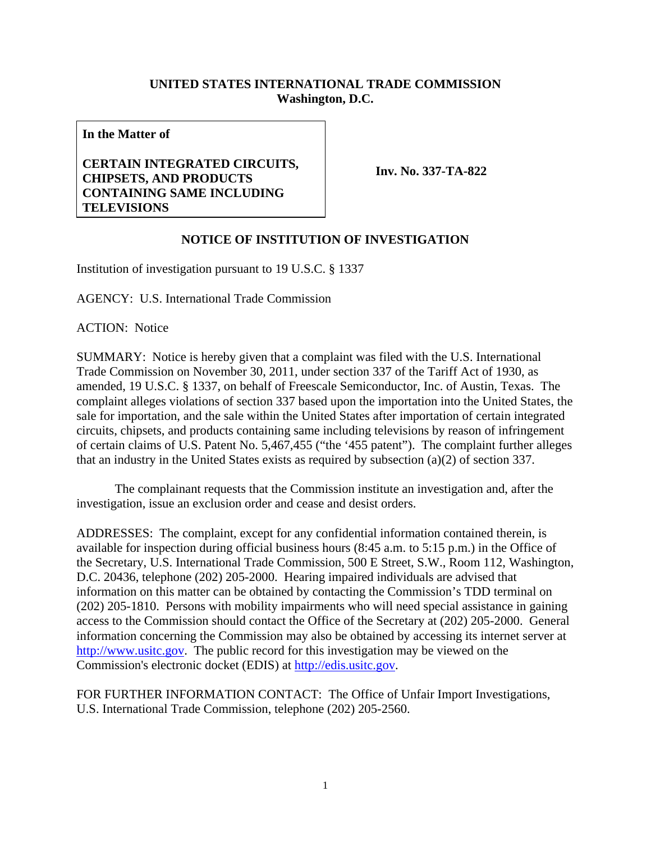## **UNITED STATES INTERNATIONAL TRADE COMMISSION Washington, D.C.**

**In the Matter of** 

## **CERTAIN INTEGRATED CIRCUITS, CHIPSETS, AND PRODUCTS CONTAINING SAME INCLUDING TELEVISIONS**

**Inv. No. 337-TA-822**

## **NOTICE OF INSTITUTION OF INVESTIGATION**

Institution of investigation pursuant to 19 U.S.C. § 1337

AGENCY: U.S. International Trade Commission

ACTION: Notice

SUMMARY: Notice is hereby given that a complaint was filed with the U.S. International Trade Commission on November 30, 2011, under section 337 of the Tariff Act of 1930, as amended, 19 U.S.C. § 1337, on behalf of Freescale Semiconductor, Inc. of Austin, Texas. The complaint alleges violations of section 337 based upon the importation into the United States, the sale for importation, and the sale within the United States after importation of certain integrated circuits, chipsets, and products containing same including televisions by reason of infringement of certain claims of U.S. Patent No. 5,467,455 ("the '455 patent"). The complaint further alleges that an industry in the United States exists as required by subsection (a)(2) of section 337.

 The complainant requests that the Commission institute an investigation and, after the investigation, issue an exclusion order and cease and desist orders.

ADDRESSES: The complaint, except for any confidential information contained therein, is available for inspection during official business hours (8:45 a.m. to 5:15 p.m.) in the Office of the Secretary, U.S. International Trade Commission, 500 E Street, S.W., Room 112, Washington, D.C. 20436, telephone (202) 205-2000. Hearing impaired individuals are advised that information on this matter can be obtained by contacting the Commission's TDD terminal on (202) 205-1810. Persons with mobility impairments who will need special assistance in gaining access to the Commission should contact the Office of the Secretary at (202) 205-2000. General information concerning the Commission may also be obtained by accessing its internet server at http://www.usitc.gov. The public record for this investigation may be viewed on the Commission's electronic docket (EDIS) at http://edis.usitc.gov.

FOR FURTHER INFORMATION CONTACT: The Office of Unfair Import Investigations, U.S. International Trade Commission, telephone (202) 205-2560.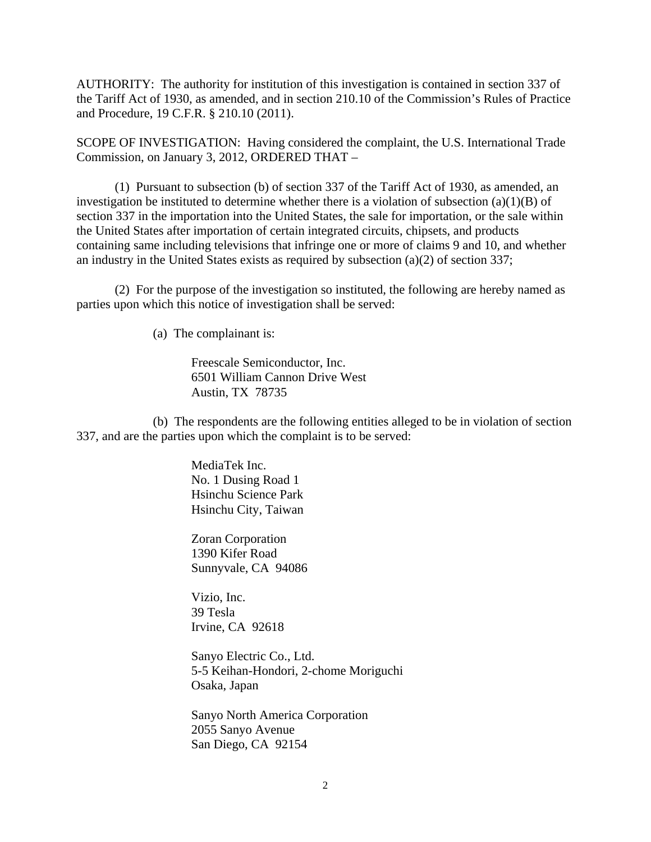AUTHORITY: The authority for institution of this investigation is contained in section 337 of the Tariff Act of 1930, as amended, and in section 210.10 of the Commission's Rules of Practice and Procedure, 19 C.F.R. § 210.10 (2011).

SCOPE OF INVESTIGATION: Having considered the complaint, the U.S. International Trade Commission, on January 3, 2012, ORDERED THAT –

 (1) Pursuant to subsection (b) of section 337 of the Tariff Act of 1930, as amended, an investigation be instituted to determine whether there is a violation of subsection (a)(1)(B) of section 337 in the importation into the United States, the sale for importation, or the sale within the United States after importation of certain integrated circuits, chipsets, and products containing same including televisions that infringe one or more of claims 9 and 10, and whether an industry in the United States exists as required by subsection (a)(2) of section 337;

 (2) For the purpose of the investigation so instituted, the following are hereby named as parties upon which this notice of investigation shall be served:

(a) The complainant is:

 Freescale Semiconductor, Inc. 6501 William Cannon Drive West Austin, TX 78735

 (b) The respondents are the following entities alleged to be in violation of section 337, and are the parties upon which the complaint is to be served:

> MediaTek Inc. No. 1 Dusing Road 1 Hsinchu Science Park Hsinchu City, Taiwan

 Zoran Corporation 1390 Kifer Road Sunnyvale, CA 94086

 Vizio, Inc. 39 Tesla Irvine, CA 92618

 Sanyo Electric Co., Ltd. 5-5 Keihan-Hondori, 2-chome Moriguchi Osaka, Japan

 Sanyo North America Corporation 2055 Sanyo Avenue San Diego, CA 92154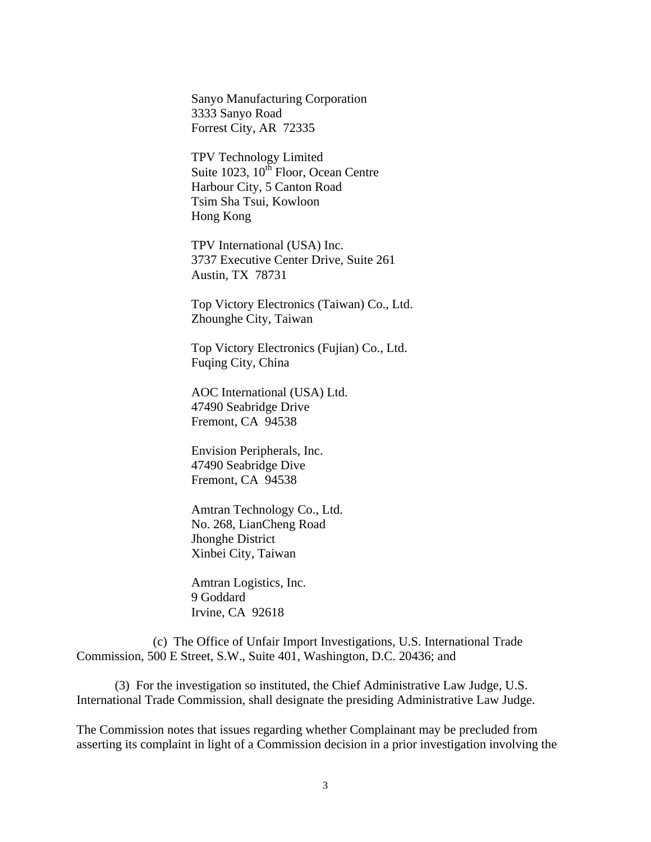Sanyo Manufacturing Corporation 3333 Sanyo Road Forrest City, AR 72335

 TPV Technology Limited Suite 1023, 10<sup>th</sup> Floor, Ocean Centre Harbour City, 5 Canton Road Tsim Sha Tsui, Kowloon Hong Kong

 TPV International (USA) Inc. 3737 Executive Center Drive, Suite 261 Austin, TX 78731

 Top Victory Electronics (Taiwan) Co., Ltd. Zhounghe City, Taiwan

 Top Victory Electronics (Fujian) Co., Ltd. Fuqing City, China

 AOC International (USA) Ltd. 47490 Seabridge Drive Fremont, CA 94538

 Envision Peripherals, Inc. 47490 Seabridge Dive Fremont, CA 94538

 Amtran Technology Co., Ltd. No. 268, LianCheng Road Jhonghe District Xinbei City, Taiwan

 Amtran Logistics, Inc. 9 Goddard Irvine, CA 92618

 (c) The Office of Unfair Import Investigations, U.S. International Trade Commission, 500 E Street, S.W., Suite 401, Washington, D.C. 20436; and

 (3) For the investigation so instituted, the Chief Administrative Law Judge, U.S. International Trade Commission, shall designate the presiding Administrative Law Judge.

The Commission notes that issues regarding whether Complainant may be precluded from asserting its complaint in light of a Commission decision in a prior investigation involving the